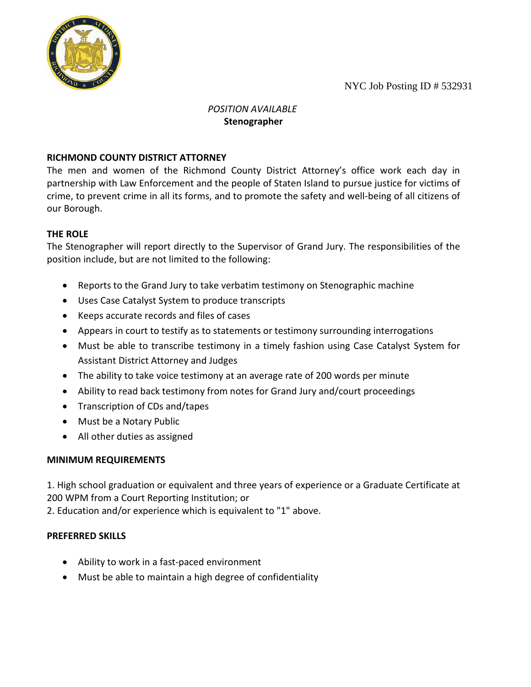NYC Job Posting ID # 532931



#### *POSITION AVAILABLE* **Stenographer**

## **RICHMOND COUNTY DISTRICT ATTORNEY**

The men and women of the Richmond County District Attorney's office work each day in partnership with Law Enforcement and the people of Staten Island to pursue justice for victims of crime, to prevent crime in all its forms, and to promote the safety and well-being of all citizens of our Borough.

# **THE ROLE**

The Stenographer will report directly to the Supervisor of Grand Jury. The responsibilities of the position include, but are not limited to the following:

- Reports to the Grand Jury to take verbatim testimony on Stenographic machine
- Uses Case Catalyst System to produce transcripts
- Keeps accurate records and files of cases
- Appears in court to testify as to statements or testimony surrounding interrogations
- Must be able to transcribe testimony in a timely fashion using Case Catalyst System for Assistant District Attorney and Judges
- The ability to take voice testimony at an average rate of 200 words per minute
- Ability to read back testimony from notes for Grand Jury and/court proceedings
- Transcription of CDs and/tapes
- Must be a Notary Public
- All other duties as assigned

### **MINIMUM REQUIREMENTS**

1. High school graduation or equivalent and three years of experience or a Graduate Certificate at 200 WPM from a Court Reporting Institution; or

2. Education and/or experience which is equivalent to "1" above.

### **PREFERRED SKILLS**

- Ability to work in a fast-paced environment
- Must be able to maintain a high degree of confidentiality